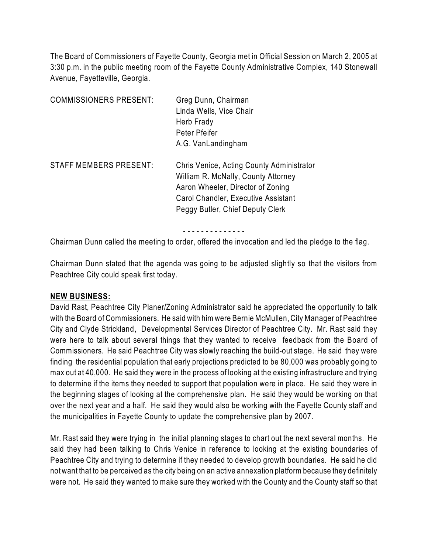The Board of Commissioners of Fayette County, Georgia met in Official Session on March 2, 2005 at 3:30 p.m. in the public meeting room of the Fayette County Administrative Complex, 140 Stonewall Avenue, Fayetteville, Georgia.

| <b>COMMISSIONERS PRESENT:</b> | Greg Dunn, Chairman<br>Linda Wells, Vice Chair<br>Herb Frady<br>Peter Pfeifer<br>A.G. VanLandingham                                                                                              |
|-------------------------------|--------------------------------------------------------------------------------------------------------------------------------------------------------------------------------------------------|
| <b>STAFF MEMBERS PRESENT:</b> | Chris Venice, Acting County Administrator<br>William R. McNally, County Attorney<br>Aaron Wheeler, Director of Zoning<br>Carol Chandler, Executive Assistant<br>Peggy Butler, Chief Deputy Clerk |

- - - - - - - - - - - - - -

Chairman Dunn called the meeting to order, offered the invocation and led the pledge to the flag.

Chairman Dunn stated that the agenda was going to be adjusted slightly so that the visitors from Peachtree City could speak first today.

#### **NEW BUSINESS:**

David Rast, Peachtree City Planer/Zoning Administrator said he appreciated the opportunity to talk with the Board of Commissioners. He said with him were Bernie McMullen, City Manager of Peachtree City and Clyde Strickland, Developmental Services Director of Peachtree City. Mr. Rast said they were here to talk about several things that they wanted to receive feedback from the Board of Commissioners. He said Peachtree City was slowly reaching the build-out stage. He said they were finding the residential population that early projections predicted to be 80,000 was probably going to max out at 40,000. He said they were in the process of looking at the existing infrastructure and trying to determine if the items they needed to support that population were in place. He said they were in the beginning stages of looking at the comprehensive plan. He said they would be working on that over the next year and a half. He said they would also be working with the Fayette County staff and the municipalities in Fayette County to update the comprehensive plan by 2007.

Mr. Rast said they were trying in the initial planning stages to chart out the next several months. He said they had been talking to Chris Venice in reference to looking at the existing boundaries of Peachtree City and trying to determine if they needed to develop growth boundaries. He said he did not want that to be perceived as the city being on an active annexation platform because they definitely were not. He said they wanted to make sure they worked with the County and the County staff so that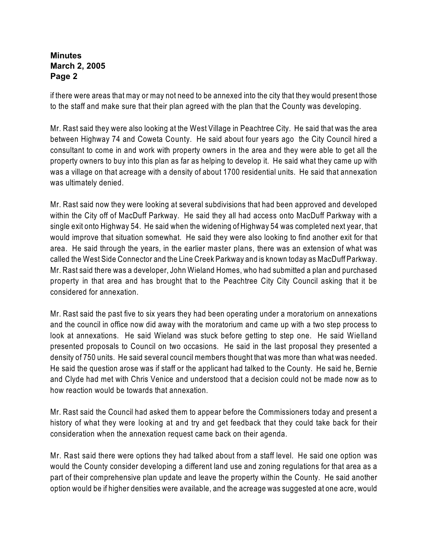if there were areas that may or may not need to be annexed into the city that they would present those to the staff and make sure that their plan agreed with the plan that the County was developing.

Mr. Rast said they were also looking at the West Village in Peachtree City. He said that was the area between Highway 74 and Coweta County. He said about four years ago the City Council hired a consultant to come in and work with property owners in the area and they were able to get all the property owners to buy into this plan as far as helping to develop it. He said what they came up with was a village on that acreage with a density of about 1700 residential units. He said that annexation was ultimately denied.

Mr. Rast said now they were looking at several subdivisions that had been approved and developed within the City off of MacDuff Parkway. He said they all had access onto MacDuff Parkway with a single exit onto Highway 54. He said when the widening of Highway 54 was completed next year, that would improve that situation somewhat. He said they were also looking to find another exit for that area. He said through the years, in the earlier master plans, there was an extension of what was called the West Side Connector and the Line Creek Parkway and is known today as MacDuff Parkway. Mr. Rast said there was a developer, John Wieland Homes, who had submitted a plan and purchased property in that area and has brought that to the Peachtree City City Council asking that it be considered for annexation.

Mr. Rast said the past five to six years they had been operating under a moratorium on annexations and the council in office now did away with the moratorium and came up with a two step process to look at annexations. He said Wieland was stuck before getting to step one. He said Wielland presented proposals to Council on two occasions. He said in the last proposal they presented a density of 750 units. He said several council members thought that was more than what was needed. He said the question arose was if staff or the applicant had talked to the County. He said he, Bernie and Clyde had met with Chris Venice and understood that a decision could not be made now as to how reaction would be towards that annexation.

Mr. Rast said the Council had asked them to appear before the Commissioners today and present a history of what they were looking at and try and get feedback that they could take back for their consideration when the annexation request came back on their agenda.

Mr. Rast said there were options they had talked about from a staff level. He said one option was would the County consider developing a different land use and zoning regulations for that area as a part of their comprehensive plan update and leave the property within the County. He said another option would be if higher densities were available, and the acreage was suggested at one acre, would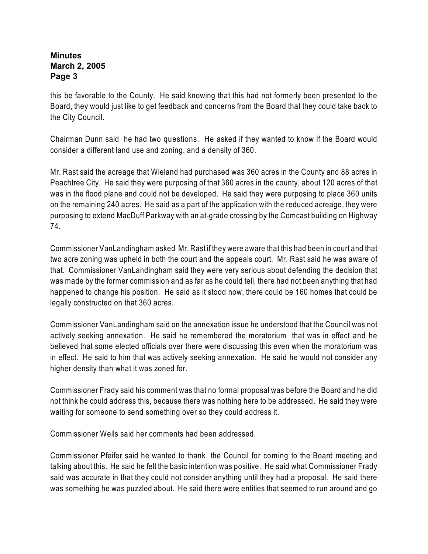this be favorable to the County. He said knowing that this had not formerly been presented to the Board, they would just like to get feedback and concerns from the Board that they could take back to the City Council.

Chairman Dunn said he had two questions. He asked if they wanted to know if the Board would consider a different land use and zoning, and a density of 360.

Mr. Rast said the acreage that Wieland had purchased was 360 acres in the County and 88 acres in Peachtree City. He said they were purposing of that 360 acres in the county, about 120 acres of that was in the flood plane and could not be developed. He said they were purposing to place 360 units on the remaining 240 acres. He said as a part of the application with the reduced acreage, they were purposing to extend MacDuff Parkway with an at-grade crossing by the Comcast building on Highway 74.

Commissioner VanLandingham asked Mr. Rast if they were aware that this had been in court and that two acre zoning was upheld in both the court and the appeals court. Mr. Rast said he was aware of that. Commissioner VanLandingham said they were very serious about defending the decision that was made by the former commission and as far as he could tell, there had not been anything that had happened to change his position. He said as it stood now, there could be 160 homes that could be legally constructed on that 360 acres.

Commissioner VanLandingham said on the annexation issue he understood that the Council was not actively seeking annexation. He said he remembered the moratorium that was in effect and he believed that some elected officials over there were discussing this even when the moratorium was in effect. He said to him that was actively seeking annexation. He said he would not consider any higher density than what it was zoned for.

Commissioner Frady said his comment was that no formal proposal was before the Board and he did not think he could address this, because there was nothing here to be addressed. He said they were waiting for someone to send something over so they could address it.

Commissioner Wells said her comments had been addressed.

Commissioner Pfeifer said he wanted to thank the Council for coming to the Board meeting and talking about this. He said he felt the basic intention was positive. He said what Commissioner Frady said was accurate in that they could not consider anything until they had a proposal. He said there was something he was puzzled about. He said there were entities that seemed to run around and go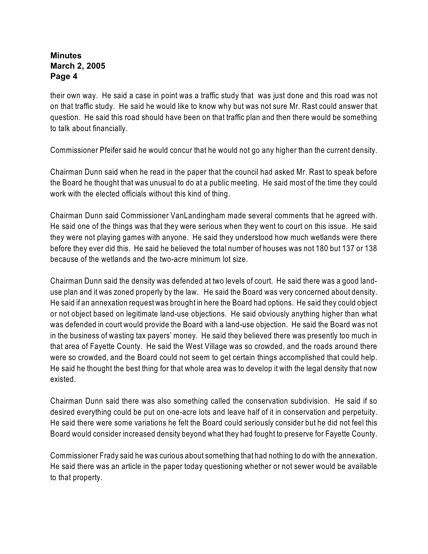their own way. He said a case in point was a traffic study that was just done and this road was not on that traffic study. He said he would like to know why but was not sure Mr. Rast could answer that question. He said this road should have been on that traffic plan and then there would be something to talk about financially.

Commissioner Pfeifer said he would concur that he would not go any higher than the current density.

Chairman Dunn said when he read in the paper that the council had asked Mr. Rast to speak before the Board he thought that was unusual to do at a public meeting. He said most of the time they could work with the elected officials without this kind of thing.

Chairman Dunn said Commissioner VanLandingham made several comments that he agreed with. He said one of the things was that they were serious when they went to court on this issue. He said they were not playing games with anyone. He said they understood how much wetlands were there before they ever did this. He said he believed the total number of houses was not 180 but 137 or 138 because of the wetlands and the two-acre minimum lot size.

Chairman Dunn said the density was defended at two levels of court. He said there was a good landuse plan and it was zoned properly by the law. He said the Board was very concerned about density. He said if an annexation request was brought in here the Board had options. He said they could object or not object based on legitimate land-use objections. He said obviously anything higher than what was defended in court would provide the Board with a land-use objection. He said the Board was not in the business of wasting tax payers' money. He said they believed there was presently too much in that area of Fayette County. He said the West Village was so crowded, and the roads around there were so crowded, and the Board could not seem to get certain things accomplished that could help. He said he thought the best thing for that whole area was to develop it with the legal density that now existed.

Chairman Dunn said there was also something called the conservation subdivision. He said if so desired everything could be put on one-acre lots and leave half of it in conservation and perpetuity. He said there were some variations he felt the Board could seriously consider but he did not feel this Board would consider increased density beyond what they had fought to preserve for Fayette County.

Commissioner Frady said he was curious about something that had nothing to do with the annexation. He said there was an article in the paper today questioning whether or not sewer would be available to that property.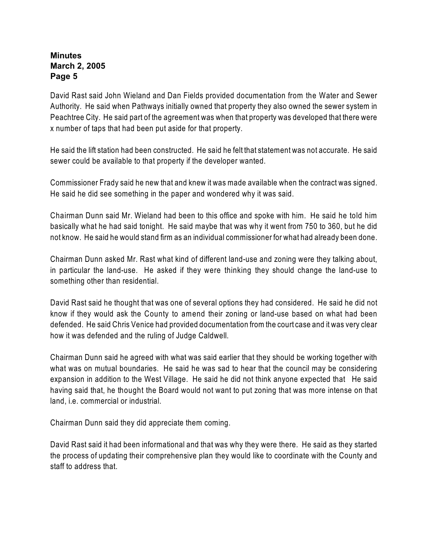David Rast said John Wieland and Dan Fields provided documentation from the Water and Sewer Authority. He said when Pathways initially owned that property they also owned the sewer system in Peachtree City. He said part of the agreement was when that property was developed that there were x number of taps that had been put aside for that property.

He said the lift station had been constructed. He said he felt that statement was not accurate. He said sewer could be available to that property if the developer wanted.

Commissioner Frady said he new that and knew it was made available when the contract was signed. He said he did see something in the paper and wondered why it was said.

Chairman Dunn said Mr. Wieland had been to this office and spoke with him. He said he told him basically what he had said tonight. He said maybe that was why it went from 750 to 360, but he did not know. He said he would stand firm as an individual commissioner for what had already been done.

Chairman Dunn asked Mr. Rast what kind of different land-use and zoning were they talking about, in particular the land-use. He asked if they were thinking they should change the land-use to something other than residential.

David Rast said he thought that was one of several options they had considered. He said he did not know if they would ask the County to amend their zoning or land-use based on what had been defended. He said Chris Venice had provided documentation from the court case and it was very clear how it was defended and the ruling of Judge Caldwell.

Chairman Dunn said he agreed with what was said earlier that they should be working together with what was on mutual boundaries. He said he was sad to hear that the council may be considering expansion in addition to the West Village. He said he did not think anyone expected that He said having said that, he thought the Board would not want to put zoning that was more intense on that land, i.e. commercial or industrial.

Chairman Dunn said they did appreciate them coming.

David Rast said it had been informational and that was why they were there. He said as they started the process of updating their comprehensive plan they would like to coordinate with the County and staff to address that.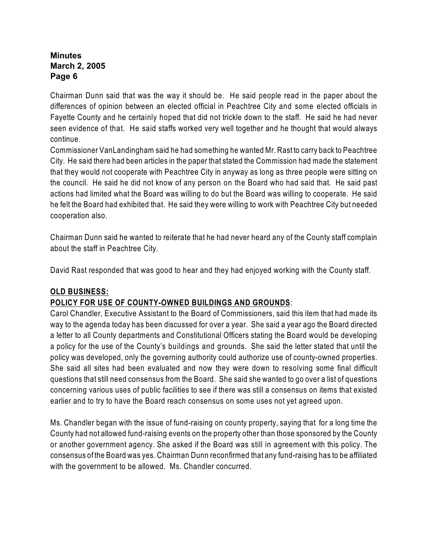Chairman Dunn said that was the way it should be. He said people read in the paper about the differences of opinion between an elected official in Peachtree City and some elected officials in Fayette County and he certainly hoped that did not trickle down to the staff. He said he had never seen evidence of that. He said staffs worked very well together and he thought that would always continue.

Commissioner VanLandingham said he had something he wanted Mr. Rast to carry back to Peachtree City. He said there had been articles in the paper that stated the Commission had made the statement that they would not cooperate with Peachtree City in anyway as long as three people were sitting on the council. He said he did not know of any person on the Board who had said that. He said past actions had limited what the Board was willing to do but the Board was willing to cooperate. He said he felt the Board had exhibited that. He said they were willing to work with Peachtree City but needed cooperation also.

Chairman Dunn said he wanted to reiterate that he had never heard any of the County staff complain about the staff in Peachtree City.

David Rast responded that was good to hear and they had enjoyed working with the County staff.

## **OLD BUSINESS:**

## **POLICY FOR USE OF COUNTY-OWNED BUILDINGS AND GROUNDS**:

Carol Chandler, Executive Assistant to the Board of Commissioners, said this item that had made its way to the agenda today has been discussed for over a year. She said a year ago the Board directed a letter to all County departments and Constitutional Officers stating the Board would be developing a policy for the use of the County's buildings and grounds. She said the letter stated that until the policy was developed, only the governing authority could authorize use of county-owned properties. She said all sites had been evaluated and now they were down to resolving some final difficult questions that still need consensus from the Board. She said she wanted to go over a list of questions concerning various uses of public facilities to see if there was still a consensus on items that existed earlier and to try to have the Board reach consensus on some uses not yet agreed upon.

Ms. Chandler began with the issue of fund-raising on county property, saying that for a long time the County had not allowed fund-raising events on the property other than those sponsored by the County or another government agency. She asked if the Board was still in agreement with this policy. The consensus of the Board was yes. Chairman Dunn reconfirmed that any fund-raising has to be affiliated with the government to be allowed. Ms. Chandler concurred.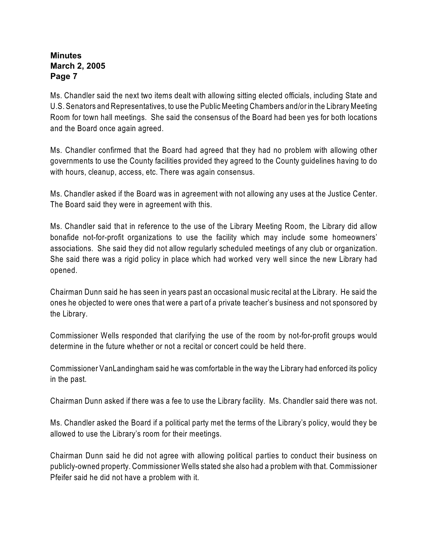Ms. Chandler said the next two items dealt with allowing sitting elected officials, including State and U.S. Senators and Representatives, to use the Public Meeting Chambers and/or in the Library Meeting Room for town hall meetings. She said the consensus of the Board had been yes for both locations and the Board once again agreed.

Ms. Chandler confirmed that the Board had agreed that they had no problem with allowing other governments to use the County facilities provided they agreed to the County guidelines having to do with hours, cleanup, access, etc. There was again consensus.

Ms. Chandler asked if the Board was in agreement with not allowing any uses at the Justice Center. The Board said they were in agreement with this.

Ms. Chandler said that in reference to the use of the Library Meeting Room, the Library did allow bonafide not-for-profit organizations to use the facility which may include some homeowners' associations. She said they did not allow regularly scheduled meetings of any club or organization. She said there was a rigid policy in place which had worked very well since the new Library had opened.

Chairman Dunn said he has seen in years past an occasional music recital at the Library. He said the ones he objected to were ones that were a part of a private teacher's business and not sponsored by the Library.

Commissioner Wells responded that clarifying the use of the room by not-for-profit groups would determine in the future whether or not a recital or concert could be held there.

Commissioner VanLandingham said he was comfortable in the way the Library had enforced its policy in the past.

Chairman Dunn asked if there was a fee to use the Library facility. Ms. Chandler said there was not.

Ms. Chandler asked the Board if a political party met the terms of the Library's policy, would they be allowed to use the Library's room for their meetings.

Chairman Dunn said he did not agree with allowing political parties to conduct their business on publicly-owned property. Commissioner Wells stated she also had a problem with that. Commissioner Pfeifer said he did not have a problem with it.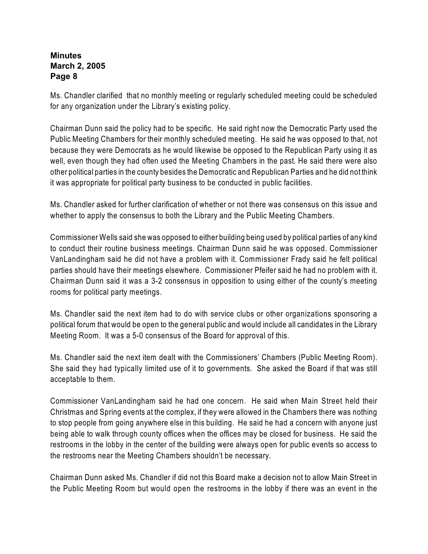Ms. Chandler clarified that no monthly meeting or regularly scheduled meeting could be scheduled for any organization under the Library's existing policy.

Chairman Dunn said the policy had to be specific. He said right now the Democratic Party used the Public Meeting Chambers for their monthly scheduled meeting. He said he was opposed to that, not because they were Democrats as he would likewise be opposed to the Republican Party using it as well, even though they had often used the Meeting Chambers in the past. He said there were also other political parties in the county besides the Democratic and Republican Parties and he did not think it was appropriate for political party business to be conducted in public facilities.

Ms. Chandler asked for further clarification of whether or not there was consensus on this issue and whether to apply the consensus to both the Library and the Public Meeting Chambers.

Commissioner Wells said she was opposed to either building being used by political parties of any kind to conduct their routine business meetings. Chairman Dunn said he was opposed. Commissioner VanLandingham said he did not have a problem with it. Commissioner Frady said he felt political parties should have their meetings elsewhere. Commissioner Pfeifer said he had no problem with it. Chairman Dunn said it was a 3-2 consensus in opposition to using either of the county's meeting rooms for political party meetings.

Ms. Chandler said the next item had to do with service clubs or other organizations sponsoring a political forum that would be open to the general public and would include all candidates in the Library Meeting Room. It was a 5-0 consensus of the Board for approval of this.

Ms. Chandler said the next item dealt with the Commissioners' Chambers (Public Meeting Room). She said they had typically limited use of it to governments. She asked the Board if that was still acceptable to them.

Commissioner VanLandingham said he had one concern. He said when Main Street held their Christmas and Spring events at the complex, if they were allowed in the Chambers there was nothing to stop people from going anywhere else in this building. He said he had a concern with anyone just being able to walk through county offices when the offices may be closed for business. He said the restrooms in the lobby in the center of the building were always open for public events so access to the restrooms near the Meeting Chambers shouldn't be necessary.

Chairman Dunn asked Ms. Chandler if did not this Board make a decision not to allow Main Street in the Public Meeting Room but would open the restrooms in the lobby if there was an event in the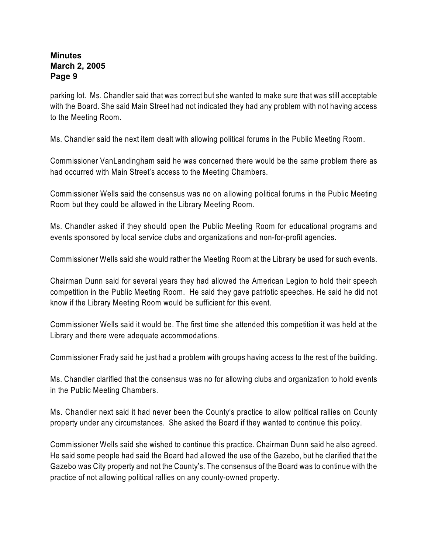parking lot. Ms. Chandler said that was correct but she wanted to make sure that was still acceptable with the Board. She said Main Street had not indicated they had any problem with not having access to the Meeting Room.

Ms. Chandler said the next item dealt with allowing political forums in the Public Meeting Room.

Commissioner VanLandingham said he was concerned there would be the same problem there as had occurred with Main Street's access to the Meeting Chambers.

Commissioner Wells said the consensus was no on allowing political forums in the Public Meeting Room but they could be allowed in the Library Meeting Room.

Ms. Chandler asked if they should open the Public Meeting Room for educational programs and events sponsored by local service clubs and organizations and non-for-profit agencies.

Commissioner Wells said she would rather the Meeting Room at the Library be used for such events.

Chairman Dunn said for several years they had allowed the American Legion to hold their speech competition in the Public Meeting Room. He said they gave patriotic speeches. He said he did not know if the Library Meeting Room would be sufficient for this event.

Commissioner Wells said it would be. The first time she attended this competition it was held at the Library and there were adequate accommodations.

Commissioner Frady said he just had a problem with groups having access to the rest of the building.

Ms. Chandler clarified that the consensus was no for allowing clubs and organization to hold events in the Public Meeting Chambers.

Ms. Chandler next said it had never been the County's practice to allow political rallies on County property under any circumstances. She asked the Board if they wanted to continue this policy.

Commissioner Wells said she wished to continue this practice. Chairman Dunn said he also agreed. He said some people had said the Board had allowed the use of the Gazebo, but he clarified that the Gazebo was City property and not the County's. The consensus of the Board was to continue with the practice of not allowing political rallies on any county-owned property.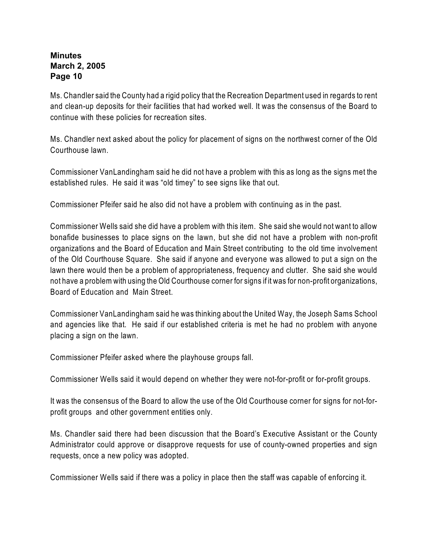Ms. Chandler said the County had a rigid policy that the Recreation Department used in regards to rent and clean-up deposits for their facilities that had worked well. It was the consensus of the Board to continue with these policies for recreation sites.

Ms. Chandler next asked about the policy for placement of signs on the northwest corner of the Old Courthouse lawn.

Commissioner VanLandingham said he did not have a problem with this as long as the signs met the established rules. He said it was "old timey" to see signs like that out.

Commissioner Pfeifer said he also did not have a problem with continuing as in the past.

Commissioner Wells said she did have a problem with this item. She said she would not want to allow bonafide businesses to place signs on the lawn, but she did not have a problem with non-profit organizations and the Board of Education and Main Street contributing to the old time involvement of the Old Courthouse Square. She said if anyone and everyone was allowed to put a sign on the lawn there would then be a problem of appropriateness, frequency and clutter. She said she would not have a problem with using the Old Courthouse corner for signs if it was for non-profit organizations, Board of Education and Main Street.

Commissioner VanLandingham said he was thinking about the United Way, the Joseph Sams School and agencies like that. He said if our established criteria is met he had no problem with anyone placing a sign on the lawn.

Commissioner Pfeifer asked where the playhouse groups fall.

Commissioner Wells said it would depend on whether they were not-for-profit or for-profit groups.

It was the consensus of the Board to allow the use of the Old Courthouse corner for signs for not-forprofit groups and other government entities only.

Ms. Chandler said there had been discussion that the Board's Executive Assistant or the County Administrator could approve or disapprove requests for use of county-owned properties and sign requests, once a new policy was adopted.

Commissioner Wells said if there was a policy in place then the staff was capable of enforcing it.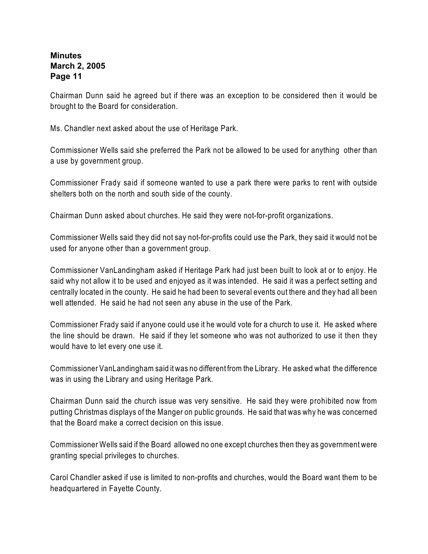Chairman Dunn said he agreed but if there was an exception to be considered then it would be brought to the Board for consideration.

Ms. Chandler next asked about the use of Heritage Park.

Commissioner Wells said she preferred the Park not be allowed to be used for anything other than a use by government group.

Commissioner Frady said if someone wanted to use a park there were parks to rent with outside shelters both on the north and south side of the county.

Chairman Dunn asked about churches. He said they were not-for-profit organizations.

Commissioner Wells said they did not say not-for-profits could use the Park, they said it would not be used for anyone other than a government group.

Commissioner VanLandingham asked if Heritage Park had just been built to look at or to enjoy. He said why not allow it to be used and enjoyed as it was intended. He said it was a perfect setting and centrally located in the county. He said he had been to several events out there and they had all been well attended. He said he had not seen any abuse in the use of the Park.

Commissioner Frady said if anyone could use it he would vote for a church to use it. He asked where the line should be drawn. He said if they let someone who was not authorized to use it then they would have to let every one use it.

Commissioner VanLandingham said it was no different from the Library. He asked what the difference was in using the Library and using Heritage Park.

Chairman Dunn said the church issue was very sensitive. He said they were prohibited now from putting Christmas displays of the Manger on public grounds. He said that was why he was concerned that the Board make a correct decision on this issue.

Commissioner Wells said if the Board allowed no one except churches then they as government were granting special privileges to churches.

Carol Chandler asked if use is limited to non-profits and churches, would the Board want them to be headquartered in Fayette County.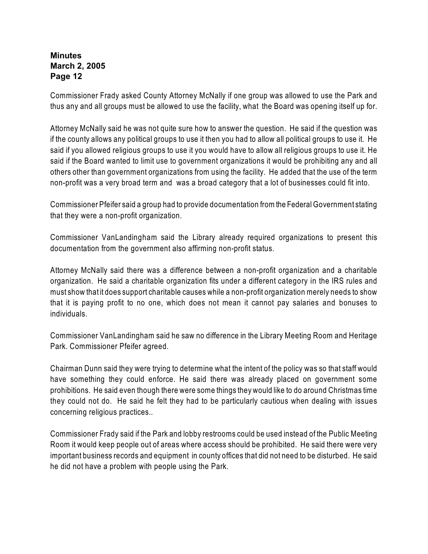Commissioner Frady asked County Attorney McNally if one group was allowed to use the Park and thus any and all groups must be allowed to use the facility, what the Board was opening itself up for.

Attorney McNally said he was not quite sure how to answer the question. He said if the question was if the county allows any political groups to use it then you had to allow all political groups to use it. He said if you allowed religious groups to use it you would have to allow all religious groups to use it. He said if the Board wanted to limit use to government organizations it would be prohibiting any and all others other than government organizations from using the facility. He added that the use of the term non-profit was a very broad term and was a broad category that a lot of businesses could fit into.

Commissioner Pfeifer said a group had to provide documentation from the Federal Government stating that they were a non-profit organization.

Commissioner VanLandingham said the Library already required organizations to present this documentation from the government also affirming non-profit status.

Attorney McNally said there was a difference between a non-profit organization and a charitable organization. He said a charitable organization fits under a different category in the IRS rules and must show that it does support charitable causes while a non-profit organization merely needs to show that it is paying profit to no one, which does not mean it cannot pay salaries and bonuses to individuals.

Commissioner VanLandingham said he saw no difference in the Library Meeting Room and Heritage Park. Commissioner Pfeifer agreed.

Chairman Dunn said they were trying to determine what the intent of the policy was so that staff would have something they could enforce. He said there was already placed on government some prohibitions. He said even though there were some things they would like to do around Christmas time they could not do. He said he felt they had to be particularly cautious when dealing with issues concerning religious practices..

Commissioner Frady said if the Park and lobby restrooms could be used instead of the Public Meeting Room it would keep people out of areas where access should be prohibited. He said there were very important business records and equipment in county offices that did not need to be disturbed. He said he did not have a problem with people using the Park.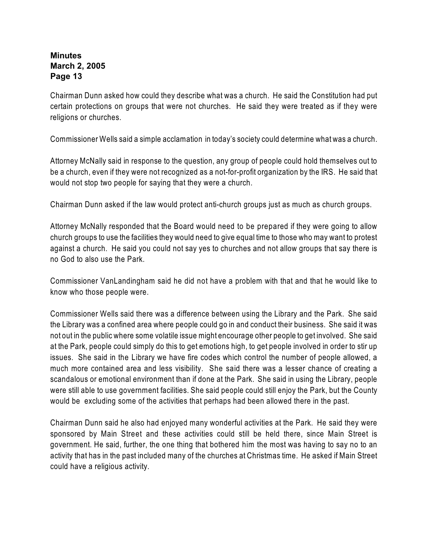Chairman Dunn asked how could they describe what was a church. He said the Constitution had put certain protections on groups that were not churches. He said they were treated as if they were religions or churches.

Commissioner Wells said a simple acclamation in today's society could determine what was a church.

Attorney McNally said in response to the question, any group of people could hold themselves out to be a church, even if they were not recognized as a not-for-profit organization by the IRS. He said that would not stop two people for saying that they were a church.

Chairman Dunn asked if the law would protect anti-church groups just as much as church groups.

Attorney McNally responded that the Board would need to be prepared if they were going to allow church groups to use the facilities they would need to give equal time to those who may want to protest against a church. He said you could not say yes to churches and not allow groups that say there is no God to also use the Park.

Commissioner VanLandingham said he did not have a problem with that and that he would like to know who those people were.

Commissioner Wells said there was a difference between using the Library and the Park. She said the Library was a confined area where people could go in and conduct their business. She said it was not out in the public where some volatile issue might encourage other people to get involved. She said at the Park, people could simply do this to get emotions high, to get people involved in order to stir up issues. She said in the Library we have fire codes which control the number of people allowed, a much more contained area and less visibility. She said there was a lesser chance of creating a scandalous or emotional environment than if done at the Park. She said in using the Library, people were still able to use government facilities. She said people could still enjoy the Park, but the County would be excluding some of the activities that perhaps had been allowed there in the past.

Chairman Dunn said he also had enjoyed many wonderful activities at the Park. He said they were sponsored by Main Street and these activities could still be held there, since Main Street is government. He said, further, the one thing that bothered him the most was having to say no to an activity that has in the past included many of the churches at Christmas time. He asked if Main Street could have a religious activity.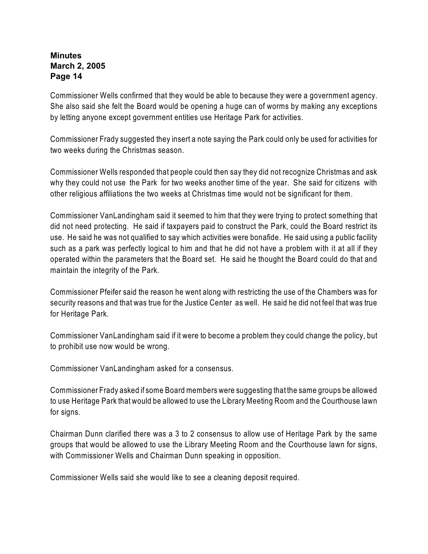Commissioner Wells confirmed that they would be able to because they were a government agency. She also said she felt the Board would be opening a huge can of worms by making any exceptions by letting anyone except government entities use Heritage Park for activities.

Commissioner Frady suggested they insert a note saying the Park could only be used for activities for two weeks during the Christmas season.

Commissioner Wells responded that people could then say they did not recognize Christmas and ask why they could not use the Park for two weeks another time of the year. She said for citizens with other religious affiliations the two weeks at Christmas time would not be significant for them.

Commissioner VanLandingham said it seemed to him that they were trying to protect something that did not need protecting. He said if taxpayers paid to construct the Park, could the Board restrict its use. He said he was not qualified to say which activities were bonafide. He said using a public facility such as a park was perfectly logical to him and that he did not have a problem with it at all if they operated within the parameters that the Board set. He said he thought the Board could do that and maintain the integrity of the Park.

Commissioner Pfeifer said the reason he went along with restricting the use of the Chambers was for security reasons and that was true for the Justice Center as well. He said he did not feel that was true for Heritage Park.

Commissioner VanLandingham said if it were to become a problem they could change the policy, but to prohibit use now would be wrong.

Commissioner VanLandingham asked for a consensus.

Commissioner Frady asked if some Board members were suggesting that the same groups be allowed to use Heritage Park that would be allowed to use the Library Meeting Room and the Courthouse lawn for signs.

Chairman Dunn clarified there was a 3 to 2 consensus to allow use of Heritage Park by the same groups that would be allowed to use the Library Meeting Room and the Courthouse lawn for signs, with Commissioner Wells and Chairman Dunn speaking in opposition.

Commissioner Wells said she would like to see a cleaning deposit required.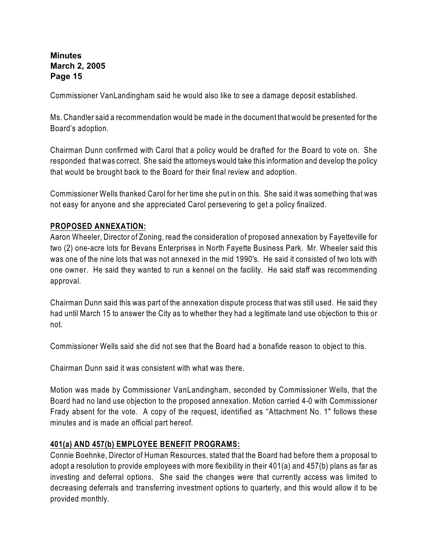Commissioner VanLandingham said he would also like to see a damage deposit established.

Ms. Chandler said a recommendation would be made in the document that would be presented for the Board's adoption.

Chairman Dunn confirmed with Carol that a policy would be drafted for the Board to vote on. She responded that was correct. She said the attorneys would take this information and develop the policy that would be brought back to the Board for their final review and adoption.

Commissioner Wells thanked Carol for her time she put in on this. She said it was something that was not easy for anyone and she appreciated Carol persevering to get a policy finalized.

## **PROPOSED ANNEXATION:**

Aaron Wheeler, Director of Zoning, read the consideration of proposed annexation by Fayetteville for two (2) one-acre lots for Bevans Enterprises in North Fayette Business Park.Mr. Wheeler said this was one of the nine lots that was not annexed in the mid 1990's. He said it consisted of two lots with one owner. He said they wanted to run a kennel on the facility. He said staff was recommending approval.

Chairman Dunn said this was part of the annexation dispute process that was still used. He said they had until March 15 to answer the City as to whether they had a legitimate land use objection to this or not.

Commissioner Wells said she did not see that the Board had a bonafide reason to object to this.

Chairman Dunn said it was consistent with what was there.

Motion was made by Commissioner VanLandingham, seconded by Commissioner Wells, that the Board had no land use objection to the proposed annexation. Motion carried 4-0 with Commissioner Frady absent for the vote.A copy of the request, identified as "Attachment No. 1" follows these minutes and is made an official part hereof.

## **401(a) AND 457(b) EMPLOYEE BENEFIT PROGRAMS:**

Connie Boehnke, Director of Human Resources, stated that the Board had before them a proposal to adopt a resolution to provide employees with more flexibility in their 401(a) and 457(b) plans as far as investing and deferral options. She said the changes were that currently access was limited to decreasing deferrals and transferring investment options to quarterly, and this would allow it to be provided monthly.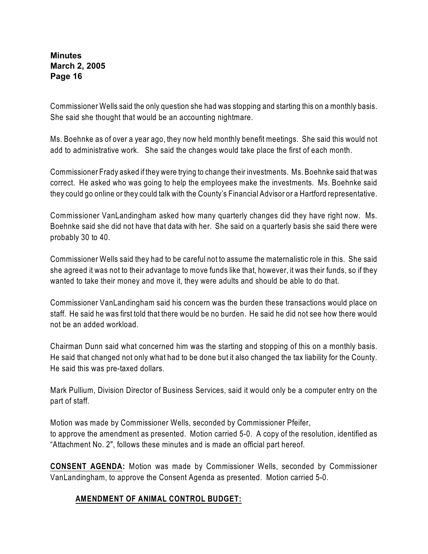Commissioner Wells said the only question she had was stopping and starting this on a monthly basis. She said she thought that would be an accounting nightmare.

Ms. Boehnke as of over a year ago, they now held monthly benefit meetings. She said this would not add to administrative work. She said the changes would take place the first of each month.

Commissioner Frady asked if they were trying to change their investments. Ms. Boehnke said that was correct. He asked who was going to help the employees make the investments. Ms. Boehnke said they could go online or they could talk with the County's Financial Advisor or a Hartford representative.

Commissioner VanLandingham asked how many quarterly changes did they have right now. Ms. Boehnke said she did not have that data with her. She said on a quarterly basis she said there were probably 30 to 40.

Commissioner Wells said they had to be careful not to assume the maternalistic role in this. She said she agreed it was not to their advantage to move funds like that, however, it was their funds, so if they wanted to take their money and move it, they were adults and should be able to do that.

Commissioner VanLandingham said his concern was the burden these transactions would place on staff. He said he was first told that there would be no burden. He said he did not see how there would not be an added workload.

Chairman Dunn said what concerned him was the starting and stopping of this on a monthly basis. He said that changed not only what had to be done but it also changed the tax liability for the County. He said this was pre-taxed dollars.

Mark Pullium, Division Director of Business Services, said it would only be a computer entry on the part of staff.

Motion was made by Commissioner Wells, seconded by Commissioner Pfeifer, to approve the amendment as presented. Motion carried 5-0. A copy of the resolution, identified as "Attachment No. 2", follows these minutes and is made an official part hereof.

**CONSENT AGENDA:** Motion was made by Commissioner Wells, seconded by Commissioner VanLandingham, to approve the Consent Agenda as presented. Motion carried 5-0.

## **AMENDMENT OF ANIMAL CONTROL BUDGET:**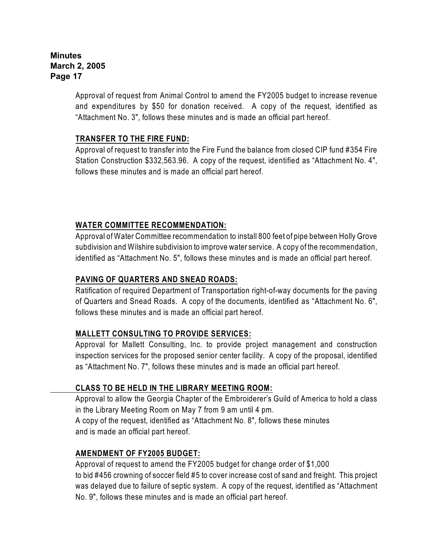Approval of request from Animal Control to amend the FY2005 budget to increase revenue and expenditures by \$50 for donation received.A copy of the request, identified as "Attachment No. 3", follows these minutes and is made an official part hereof.

## **TRANSFER TO THE FIRE FUND:**

Approval of request to transfer into the Fire Fund the balance from closed CIP fund #354 Fire Station Construction \$332,563.96.A copy of the request, identified as "Attachment No. 4", follows these minutes and is made an official part hereof.

# **WATER COMMITTEE RECOMMENDATION:**

Approval of Water Committee recommendation to install 800 feet of pipe between Holly Grove subdivision and Wilshire subdivision to improve water service.A copy of the recommendation, identified as "Attachment No. 5", follows these minutes and is made an official part hereof.

# **PAVING OF QUARTERS AND SNEAD ROADS:**

Ratification of required Department of Transportation right-of-way documents for the paving of Quarters and Snead Roads. A copy of the documents, identified as "Attachment No. 6", follows these minutes and is made an official part hereof.

# **MALLETT CONSULTING TO PROVIDE SERVICES:**

Approval for Mallett Consulting, Inc. to provide project management and construction inspection services for the proposed senior center facility. A copy of the proposal, identified as "Attachment No. 7", follows these minutes and is made an official part hereof.

# **CLASS TO BE HELD IN THE LIBRARY MEETING ROOM:**

Approval to allow the Georgia Chapter of the Embroiderer's Guild of America to hold a class in the Library Meeting Room on May 7 from 9 am until 4 pm. A copy of the request, identified as "Attachment No. 8", follows these minutes and is made an official part hereof.

# **AMENDMENT OF FY2005 BUDGET:**

Approval of request to amend the FY2005 budget for change order of \$1,000 to bid #456 crowning of soccer field #5 to cover increase cost of sand and freight. This project was delayed due to failure of septic system. A copy of the request, identified as "Attachment No. 9", follows these minutes and is made an official part hereof.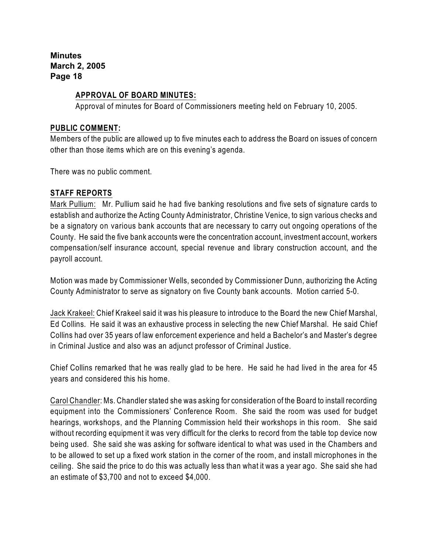## **APPROVAL OF BOARD MINUTES:**

Approval of minutes for Board of Commissioners meeting held on February 10, 2005.

#### **PUBLIC COMMENT:**

Members of the public are allowed up to five minutes each to address the Board on issues of concern other than those items which are on this evening's agenda.

There was no public comment.

## **STAFF REPORTS**

Mark Pullium: Mr. Pullium said he had five banking resolutions and five sets of signature cards to establish and authorize the Acting County Administrator, Christine Venice, to sign various checks and be a signatory on various bank accounts that are necessary to carry out ongoing operations of the County. He said the five bank accounts were the concentration account, investment account, workers compensation/self insurance account, special revenue and library construction account, and the payroll account.

Motion was made by Commissioner Wells, seconded by Commissioner Dunn, authorizing the Acting County Administrator to serve as signatory on five County bank accounts. Motion carried 5-0.

Jack Krakeel: Chief Krakeel said it was his pleasure to introduce to the Board the new Chief Marshal, Ed Collins. He said it was an exhaustive process in selecting the new Chief Marshal. He said Chief Collins had over 35 years of law enforcement experience and held a Bachelor's and Master's degree in Criminal Justice and also was an adjunct professor of Criminal Justice.

Chief Collins remarked that he was really glad to be here. He said he had lived in the area for 45 years and considered this his home.

Carol Chandler: Ms. Chandler stated she was asking for consideration of the Board to install recording equipment into the Commissioners' Conference Room. She said the room was used for budget hearings, workshops, and the Planning Commission held their workshops in this room. She said without recording equipment it was very difficult for the clerks to record from the table top device now being used. She said she was asking for software identical to what was used in the Chambers and to be allowed to set up a fixed work station in the corner of the room, and install microphones in the ceiling. She said the price to do this was actually less than what it was a year ago. She said she had an estimate of \$3,700 and not to exceed \$4,000.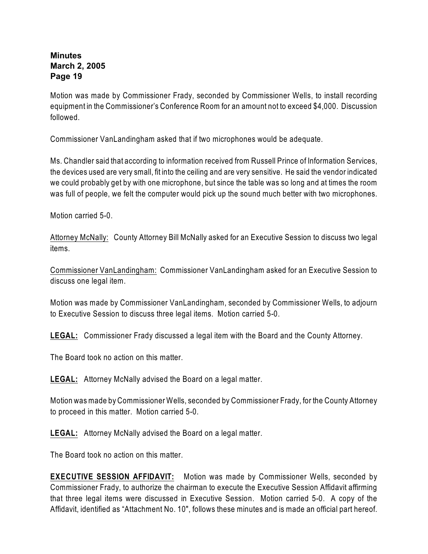Motion was made by Commissioner Frady, seconded by Commissioner Wells, to install recording equipment in the Commissioner's Conference Room for an amount not to exceed \$4,000. Discussion followed.

Commissioner VanLandingham asked that if two microphones would be adequate.

Ms. Chandler said that according to information received from Russell Prince of Information Services, the devices used are very small, fit into the ceiling and are very sensitive. He said the vendor indicated we could probably get by with one microphone, but since the table was so long and at times the room was full of people, we felt the computer would pick up the sound much better with two microphones.

Motion carried 5-0.

Attorney McNally: County Attorney Bill McNally asked for an Executive Session to discuss two legal items.

Commissioner VanLandingham: Commissioner VanLandingham asked for an Executive Session to discuss one legal item.

Motion was made by Commissioner VanLandingham, seconded by Commissioner Wells, to adjourn to Executive Session to discuss three legal items. Motion carried 5-0.

**LEGAL:** Commissioner Frady discussed a legal item with the Board and the County Attorney.

The Board took no action on this matter.

**LEGAL:** Attorney McNally advised the Board on a legal matter.

Motion was made by Commissioner Wells, seconded by Commissioner Frady, for the County Attorney to proceed in this matter.Motion carried 5-0.

**LEGAL:** Attorney McNally advised the Board on a legal matter.

The Board took no action on this matter.

**EXECUTIVE SESSION AFFIDAVIT:** Motion was made by Commissioner Wells, seconded by Commissioner Frady, to authorize the chairman to execute the Executive Session Affidavit affirming that three legal items were discussed in Executive Session. Motion carried 5-0. A copy of the Affidavit, identified as "Attachment No. 10", follows these minutes and is made an official part hereof.